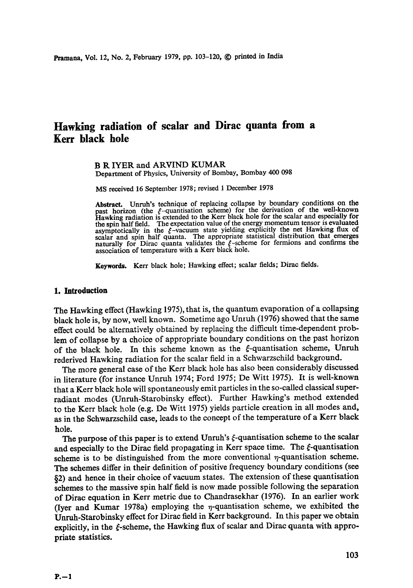# **Hawking radiation of scalar and Dirac quanta from a Kerr black hole**

B R IYER and ARVIND KUMAR Department of Physics, University of Bombay, Bombay 400 098

MS received 16 September 1978; revised 1 December 1978

Abstract. Unruh's technique of replacing collapse by boundary conditions on the past horizon (the  $\xi$ -quantisation scheme) for the derivation of the well-known Hawking radiation is extended to the Kerr black hole for the scalar and especially for the spin half field. The expectation value of the energy momentum tensor is evaluated asymptotically in the  $\xi$ -vacuum state yielding explicitly the net Hawking flux of scalar and spin half quanta. The appropriate statistical distribution that emerges naturally for Dirac quanta validates the  $\xi$ -scheme for fermions and confirms the association of temperature with a Kerr black hole.

Keywords. Kerr black hole; Hawking effect; scalar fields; Dirac fields.

### **1. Introduction**

The Hawking effect (Hawking 1975), that is, the quantum evaporation of a collapsing black hole is, by now, well known. Sometime ago Unruh (1976) showed that the same effect could be alternatively obtained by replacing the difficult time-dependent problem of collapse by a choice of appropriate boundary conditions on the past horizon of the black hole. In this scheme known as the  $\xi$ -quantisation scheme, Unruh rederived Hawking radiation for the scalar field in a Schwarzschild background.

The more general ease of the Kerr black hole has also been considerably discussed in literature (for instance Unruh 1974; Ford 1975; De Witt 1975). It is well-known that a Kerr black hole will spontaneously emit particles in the so-called classical superradiant modes (Unruh-Starobinsky effect). Further Hawking's method extended to the Kerr black hole (e.g. De Witt 1975) yields particle creation in all modes and, as in the Schwarzschild ease, leads to the concept of the temperature of a Kerr black hole.

The purpose of this paper is to extend Unruh's  $\xi$ -quantisation scheme to the scalar and especially to the Dirac field propagating in Kerr space time. The  $\xi$ -quantisation scheme is to be distinguished from the more conventional  $\eta$ -quantisation scheme. The schemes differ in their definition of positive frequency boundary conditions (see §2) and hence in their choice of vacuum states. The extension of these quantisation schemes to the massive spin half field is now made possible following the separation of Dirac equation in Kerr metric due to Chandrasekhar (1976). In an earlier work (Iyer and Kumar 1978a) employing the  $\eta$ -quantisation scheme, we exhibited the Unrull-Starobinsky effect for Dirae field in Kerr background. In this paper we obtain explicitly, in the  $\xi$ -scheme, the Hawking flux of scalar and Dirac quanta with appropriate statistics.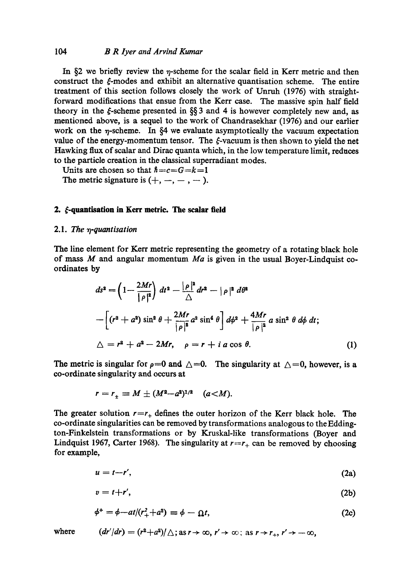#### *104 B R Iyer and Arvind Kumar*

In  $\S$ 2 we briefly review the  $\eta$ -scheme for the scalar field in Kerr metric and then construct the  $\xi$ -modes and exhibit an alternative quantisation scheme. The entire treatment of this section follows closely the work of Unrnh (1976) with straightforward modifications that ensue from the Kerr case. The massive spin half field theory in the  $\xi$ -scheme presented in §§ 3 and 4 is however completely new and, as mentioned above, is a sequel to the work of Chandrasekhar (1976) and our earlier work on the  $\eta$ -scheme. In §4 we evaluate asymptotically the vacuum expectation value of the energy-momentum tensor. The  $\xi$ -vacuum is then shown to yield the net Hawking flux of scalar and Dirac quanta which, in the low temperature limit, reduces to the particle creation in the classical superradiant modes.

Units are chosen so that  $\hbar = c = G = k = 1$ The metric signature is  $(+, -, -, -).$ 

#### **2.**  $\xi$ -quantisation in Kerr metric. The scalar field

#### 2.1. *The 7q-quantisation*

The line element for Kerr metric representing the geometry of a rotating black hole of mass M and angular momentum *Ma* is given in the usual Boyer-Lindquist coordinates **by** 

$$
ds^{2} = \left(1 - \frac{2Mr}{|\rho|^{2}}\right) dt^{2} - \frac{|\rho|^{2}}{\Delta} dr^{2} - |\rho|^{2} d\theta^{2}
$$
  
 
$$
- \left[ (r^{2} + a^{2}) \sin^{2} \theta + \frac{2Mr}{|\rho|^{2}} a^{2} \sin^{4} \theta \right] d\phi^{2} + \frac{4Mr}{|\rho|^{2}} a \sin^{2} \theta d\phi dt;
$$
  
\(\Delta = r^{2} + a^{2} - 2Mr, \quad \rho = r + i a \cos \theta. \tag{1}

The metric is singular for  $\rho=0$  and  $\triangle=0$ . The singularity at  $\triangle=0$ , however, is a co-ordinate singularity and occurs at

$$
r = r_{\pm} \equiv M \pm (M^2 - a^2)^{1/2} \quad (a < M).
$$

The greater solution  $r=r_{+}$  defines the outer horizon of the Kerr black hole. The co-ordinate singularities can be removed by transformations analogous to the Eddington-Finkelstein transformations or by Kruskal-like transformations (Boyer and Lindquist 1967, Carter 1968). The singularity at  $r=r_{+}$  can be removed by choosing for example,

$$
u = t - r',\tag{2a}
$$

$$
v = t + r',\tag{2b}
$$

$$
\phi^+ = \phi - at/(r_+^2 + a^2) \equiv \phi - \Omega t, \qquad (2c)
$$

where 
$$
(dr'/dr) = (r^2 + a^2)/\triangle
$$
; as  $r \to \infty$ ,  $r' \to \infty$ ; as  $r \to r_+$ ,  $r' \to -\infty$ ,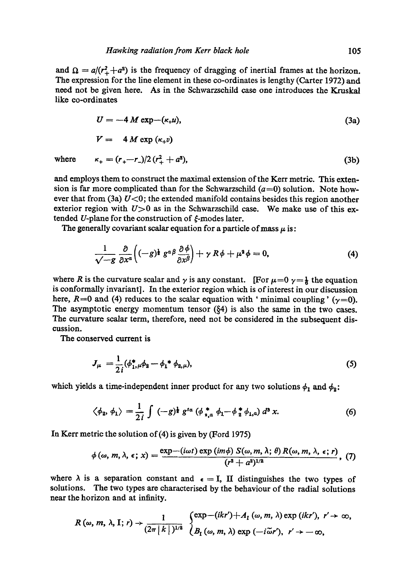and  $\Omega = a/(r_+^2+a^2)$  is the frequency of dragging of inertial frames at the horizon. The expression for the line element in these co-ordinates is lengthy (Carter 1972) and need not be given here. As in the Schwarzschild case one introduces the Kruskal like co-ordinates

$$
U = -4 M \exp(-(\kappa_+ u)), \tag{3a}
$$

$$
V = 4 M \exp{(\kappa_+ v)}
$$

where 
$$
\kappa_+ = (r_+ - r_-)/2 (r_+^2 + a^2)
$$
, (3b)

and employs them to construct the maximal extension of the Kerr metric. This extension is far more complicated than for the Schwarzschild  $(a=0)$  solution. Note however that from (3a)  $U<0$ ; the extended manifold contains besides this region another exterior region with  $U>0$  as in the Schwarzschild case. We make use of this extended U-plane for the construction of  $\xi$ -modes later.

The generally covariant scalar equation for a particle of mass  $\mu$  is:

$$
\frac{1}{\sqrt{-g}}\frac{\partial}{\partial x^{\alpha}}\left((-g)^{\frac{1}{2}}g^{\alpha\beta}\frac{\partial\phi}{\partial x^{\beta}}\right)+\gamma R\phi+\mu^{2}\phi=0,
$$
\n(4)

where R is the curvature scalar and  $\gamma$  is any constant. [For  $\mu=0$   $\gamma=\frac{1}{6}$  the equation is conformally invariant]. In the exterior region which is of interest in our discussion here,  $R=0$  and (4) reduces to the scalar equation with 'minimal coupling' ( $\gamma=0$ ). The asymptotic energy momentum tensor  $(\S 4)$  is also the same in the two cases. The curvature scalar term, therefore, need not be considered in the subsequent discussion.

The conserved current is

$$
J_{\mu} = \frac{1}{2i} (\phi_{1,\mu}^* \phi_2 - \phi_1^* \phi_{2,\mu}), \tag{5}
$$

which yields a time-independent inner product for any two solutions  $\phi_1$  and  $\phi_2$ :

$$
\langle \phi_2, \phi_1 \rangle = \frac{1}{2i} \int (-g)^{\frac{1}{2}} g^{t\alpha} (\phi_{s,a}^* \phi_1 - \phi_{s}^* \phi_{1,a}) d^3 x. \tag{6}
$$

In Kerr metric the solution of(4) is given by (Ford 1975)

$$
\phi(\omega, m, \lambda, \epsilon; x) = \frac{\exp - (i\omega t) \exp (im\phi) S(\omega, m, \lambda; \theta) R(\omega, m, \lambda, \epsilon; r)}{(r^2 + a^2)^{1/2}},
$$
 (7)

where  $\lambda$  is a separation constant and  $\epsilon = I$ , II distinguishes the two types of solutions. The two types are characterised by the behaviour of the radial solutions near the horizon and at infinity.

$$
R(\omega, m, \lambda, I; r) \rightarrow \frac{1}{(2\pi |k|)^{1/2}} \begin{cases} \exp-(ikr') + A_1(\omega, m, \lambda) \exp(ikr'), & r' \rightarrow \infty, \\ B_1(\omega, m, \lambda) \exp(-i\tilde{\omega}r'), & r' \rightarrow -\infty, \end{cases}
$$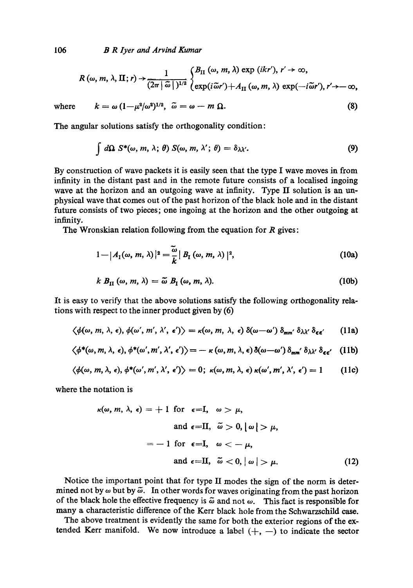*B R lyer and Arvind Kumar* 

$$
R(\omega, m, \lambda, \Pi; r) \rightarrow \frac{1}{(2\pi |\tilde{\omega}|)^{1/2}} \begin{cases} B_{\Pi}(\omega, m, \lambda) \exp (ikr'), r' \rightarrow \infty, \\ \exp(i\tilde{\omega}r') + A_{\Pi}(\omega, m, \lambda) \exp(-i\tilde{\omega}r'), r' \rightarrow -\infty, \end{cases}
$$

where  $k = \omega (1-\mu^2/\omega^2)^{1/2}, \ \tilde{\omega} = \omega - m \ \Omega.$ 

The angular solutions satisfy the orthogonality condition:

$$
\int d\Omega \ S^*(\omega, m, \lambda; \theta) \ S(\omega, m, \lambda'; \theta) = \delta_{\lambda \lambda'}.
$$
 (9)

(8)

By construction of wave packets it is easily seen that the type I wave moves in from infinity in the distant past and in the remote future consists of a localised ingoing wave at the horizon and an outgoing wave at infinity. Type II solution is an unphysical wave that comes out of the past horizon of the black hole and in the distant future consists of two pieces; one ingoing at the horizon and the other outgoing at infinity.

The Wronskian relation following from the equation for  $R$  gives:

$$
1 - |A_1(\omega, m, \lambda)|^2 = \frac{\widetilde{\omega}}{k} |B_1(\omega, m, \lambda)|^2,
$$
 (10a)

$$
k B_{\text{II}}(\omega, m, \lambda) = \tilde{\omega} B_{\text{I}}(\omega, m, \lambda). \tag{10b}
$$

It is easy to verify that the above solutions satisfy the following orthogonality relations with respect to the inner product given by (6)

$$
\langle \phi(\omega, m, \lambda, \epsilon), \phi(\omega', m', \lambda', \epsilon') \rangle = \kappa(\omega, m, \lambda, \epsilon) \, \delta(\omega - \omega') \, \delta_{mm'} \, \delta_{\lambda \lambda'} \, \delta_{\epsilon \epsilon'}
$$
 (11a)

$$
\langle \phi^*(\omega,m,\lambda,\epsilon),\phi^*(\omega',m',\lambda',\epsilon') \rangle = -\kappa(\omega,m,\lambda,\epsilon) \delta(\omega-\omega') \delta_{mm'} \delta_{\lambda\lambda'} \delta_{\epsilon\epsilon'}
$$
 (11b)

$$
\langle \phi(\omega, m, \lambda, \epsilon), \phi^*(\omega', m', \lambda', \epsilon') \rangle = 0; \ \kappa(\omega, m, \lambda, \epsilon) \kappa(\omega', m', \lambda', \epsilon') = 1 \qquad (11c)
$$

where the notation is

$$
\kappa(\omega, m, \lambda, \epsilon) = +1 \text{ for } \epsilon = I, \quad \omega > \mu,
$$
  
and  $\epsilon = II, \quad \tilde{\omega} > 0, |\omega| > \mu,$   

$$
= -1 \text{ for } \epsilon = I, \quad \omega < -\mu,
$$
  
and  $\epsilon = II, \quad \tilde{\omega} < 0, |\omega| > \mu.$  (12)

Notice the important point that for type II modes the sign of the norm is determined not by  $\omega$  but by  $\tilde{\omega}$ . In other words for waves originating from the past horizon of the black hole the effective frequency is  $\tilde{\omega}$  and not  $\omega$ . This fact is responsible for many a characteristic *difference* of the Kerr black hole from the Schwarzschild case.

The above treatment is evidently the same for both the exterior regions of the extended Kerr manifold. We now introduce a label  $(+, -)$  to indicate the sector

106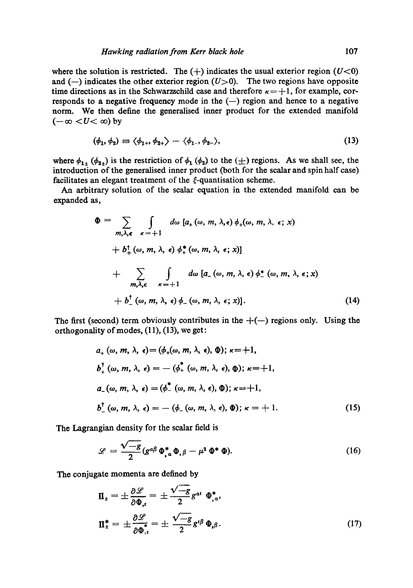where the solution is restricted. The  $(+)$  indicates the usual exterior region  $(U<0)$ and  $(-)$  indicates the other exterior region  $(U>0)$ . The two regions have opposite time directions as in the Schwarzschild case and therefore  $\kappa = +1$ , for example, corresponds to a negative frequency mode in the  $(-)$  region and hence to a negative norm. We then define the generalised inner product for the extended manifold  $(-\infty < U < \infty)$  by

$$
(\phi_1, \phi_2) \equiv \langle \phi_{1+}, \phi_{2+} \rangle - \langle \phi_{1-}, \phi_{2-} \rangle, \tag{13}
$$

where  $\phi_{1\pm}$  ( $\phi_{2\pm}$ ) is the restriction of  $\phi_1$  ( $\phi_2$ ) to the ( $\pm$ ) regions. As we shall see, the introduction of the generalised inner product (both for the scalar and spin half case) facilitates an elegant treatment of the  $\xi$ -quantisation scheme.

An arbitrary solution of the scalar equation in the extended manifold can be expanded as,

$$
\Phi = \sum_{m,\lambda,\epsilon} \int d\omega \left[ a_{+}(\omega, m, \lambda, \epsilon) \phi_{+}(\omega, m, \lambda, \epsilon; x) \right. \n+ b_{+}^{\dagger}(\omega, m, \lambda, \epsilon) \phi_{+}^{*}(\omega, m, \lambda, \epsilon; x) \right] \n+ \sum_{m,\lambda,\epsilon} \int d\omega \left[ a_{-}(\omega, m, \lambda, \epsilon) \phi_{-}^{*}(\omega, m, \lambda, \epsilon; x) \right. \n+ b_{-}^{\dagger}(\omega, m, \lambda, \epsilon) \phi_{-}(\omega, m, \lambda, \epsilon; x) \right]. \tag{14}
$$

The first (second) term obviously contributes in the  $+(-)$  regions only. Using the orthogonality of modes, (11), (13), we get:

$$
a_{+} (\omega, m, \lambda, \epsilon) = (\phi_{+}(\omega, m, \lambda, \epsilon), \Phi); \kappa = +1,
$$
  
\n
$$
b_{+}^{\dagger} (\omega, m, \lambda, \epsilon) = - (\phi_{+}^{\dagger} (\omega, m, \lambda, \epsilon), \Phi); \kappa = +1,
$$
  
\n
$$
a_{-} (\omega, m, \lambda, \epsilon) = (\phi_{-}^{\dagger} (\omega, m, \lambda, \epsilon), \Phi); \kappa = +1,
$$
  
\n
$$
b_{-}^{\dagger} (\omega, m, \lambda, \epsilon) = - (\phi_{-} (\omega, m, \lambda, \epsilon), \Phi); \kappa = +1.
$$
 (15)

The Lagrangian density for the scalar field is

$$
\mathscr{L} = \frac{\sqrt{-g}}{2} (g^{\alpha\beta} \Phi_{,\alpha}^* \Phi_{,\beta} - \mu^2 \Phi^* \Phi). \tag{16}
$$

The conjugate momenta are defined by

$$
\Pi_{\pm} = \pm \frac{\partial \mathcal{L}}{\partial \Phi_{,\epsilon}} = \pm \frac{\sqrt{-g}}{2} g^{\alpha t} \Phi_{,\alpha}^*,
$$
  

$$
\Pi_{\pm}^* = \pm \frac{\partial \mathcal{L}}{\partial \Phi_{,\epsilon}^*} = \pm \frac{\sqrt{-g}}{2} g^{i\beta} \Phi_{,\beta}.
$$
 (17)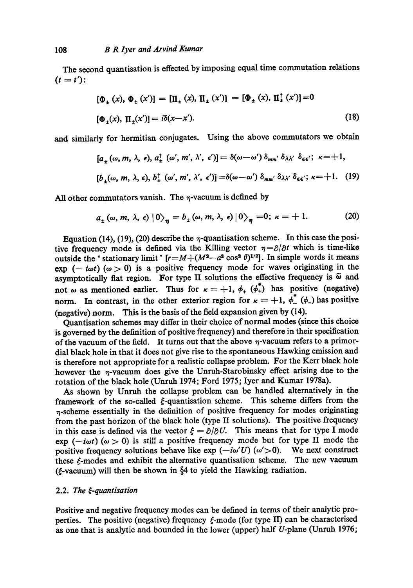The second quantisation is effected by imposing equal time commutation relations  $(t = t')$ :

$$
[\Phi_{\pm}(x), \Phi_{\pm}(x')] = [\Pi_{\pm}(x), \Pi_{\pm}(x')] = [\Phi_{\pm}(x), \Pi_{\pm}^{\dagger}(x')] = 0
$$
  

$$
[\Phi_{\pm}(x), \Pi_{\pm}(x')] = i\delta(x - x').
$$
 (18)

and similarly for hermitian conjugates. Using the above commutators we obtain

$$
[a_{\pm}(\omega, m, \lambda, \epsilon), a_{\pm}^{\dagger}(\omega', m', \lambda', \epsilon')] = \delta(\omega - \omega') \delta_{mm'} \delta_{\lambda \lambda'} \delta_{\epsilon \epsilon'}; \ \kappa = +1,
$$
  

$$
[b_{\pm}(\omega, m, \lambda, \epsilon), b_{\pm}^{\dagger}(\omega', m', \lambda', \epsilon')] = \delta(\omega - \omega') \delta_{mm'} \delta_{\lambda \lambda'} \delta_{\epsilon \epsilon'}; \ \kappa = +1.
$$
 (19)

All other commutators vanish. The  $\eta$ -vacuum is defined by

$$
a_{\pm}(\omega, m, \lambda, \epsilon) |0\rangle_{\eta} = b_{\pm}(\omega, m, \lambda, \epsilon) |0\rangle_{\eta} = 0; \ \kappa = +1. \tag{20}
$$

Equation (14), (19), (20) describe the  $\eta$ -quantisation scheme. In this case the positive frequency mode is defined via the Killing vector  $\eta = \partial/\partial t$  which is time-like outside the ' stationary limit '  $[r=M+(M^2-a^2\cos^2\theta)^{1/2}]$ . In simple words it means exp  $(-i\omega t)$   $(\omega > 0)$  is a positive frequency mode for waves originating in the asymptotically flat region. For type II solutions the effective frequency is  $\tilde{\omega}$  and not  $\omega$  as mentioned earlier. Thus for  $\kappa = +1$ ,  $\phi_+$  ( $\phi_+^*$ ) has positive (negative) norm. In contrast, in the other exterior region for  $\kappa = +1$ ,  $\phi^*$  ( $\phi$ ) has positive (negative) norm. This is the basis of the field expansion given by (14).

Quantisation schemes may differ in their choice of normal modes (since this choice is governed by the definition of positive frequency) and therefore in their specification of the vacuum of the field. It turns out that the above  $\eta$ -vacuum refers to a primordial black hole in that it does not give rise to the spontaneous Hawking emission and is therefore not appropriate for a realistic collapse problem. For the Kerr black hole however the  $\eta$ -vacuum does give the Unruh-Starobinsky effect arising due to the rotation of the black hole (Unruh 1974; Ford 1975; Iyer and Kumar 1978a).

As shown by Unruh the collapse problem can be handled alternatively in the framework of the so-called  $\xi$ -quantisation scheme. This scheme differs from the  $n$ -scheme essentially in the definition of positive frequency for modes originating from the past horizon of the black hole (type II solutions). The positive frequency in this case is defined via the vector  $\zeta = \partial/\partial U$ . This means that for type I mode exp  $(-i\omega t)$   $(\omega > 0)$  is still a positive frequency mode but for type II mode the positive frequency solutions behave like  $exp(-i\omega'U)$  ( $\omega' > 0$ ). We next construct these f-modes and exhibit the alternative quantisation scheme. The new vacuum ( $\xi$ -vacuum) will then be shown in  $\S4$  to yield the Hawking radiation.

# 2.2. The  $\xi$ -quantisation

Positive and negative frequency modes can be defined in terms of their analytic properties. The positive (negative) frequency  $\xi$ -mode (for type II) can be characterised as one that is analytic and bounded in the lower (upper) half U-plane (Unruh 1976;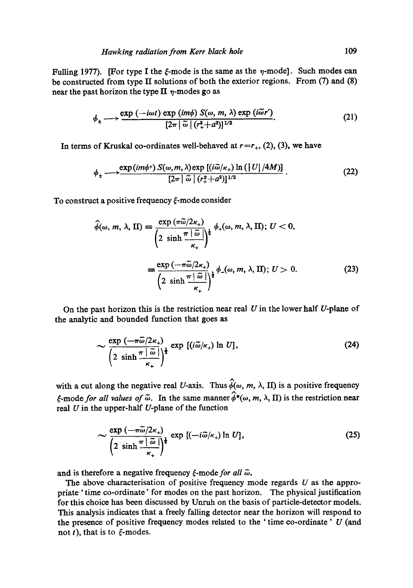Fulling 1977). [For type I the  $\xi$ -mode is the same as the  $\eta$ -mode]. Such modes can be constructed from type II solutions of both the exterior regions. From (7) and (8) near the past horizon the type II  $\eta$ -modes go as

$$
\phi_{\pm} \longrightarrow \frac{\exp\left(-i\omega t\right) \exp\left(im\phi\right) S(\omega, m, \lambda) \exp\left(i\tilde{\omega}r'\right)}{[2\pi|\tilde{\omega}|\left(r_{+}^{2}+a^{2}\right)]^{1/2}}.
$$
 (21)

In terms of Kruskal co-ordinates well-behaved at  $r=r_{+}$ , (2), (3), we have

$$
\phi_{\pm} \longrightarrow \frac{\exp(im\phi^{+}) S(\omega, m, \lambda) \exp\left[(i\tilde{\omega}/\kappa_{+}) \ln\left(\left|U\right|/4M\right)\right]}{\left[2\pi\left|\tilde{\omega}\right|\left(r_{+}^{2}+a^{2}\right)\right]^{1/2}}.
$$
 (22)

To construct a positive frequency  $\xi$ -mode consider

$$
\hat{\phi}(\omega, m, \lambda, \Pi) = \frac{\exp(\pi \tilde{\omega}/2\kappa_{+})}{\left(2 \sinh \frac{\pi |\tilde{\omega}|}{\kappa_{+}}\right)^{\frac{1}{2}}} \phi_{+}(\omega, m, \lambda, \Pi); U < 0,
$$
\n
$$
= \frac{\exp(-\pi \tilde{\omega}/2\kappa_{+})}{\left(2 \sinh \frac{\pi |\tilde{\omega}|}{\kappa_{+}}\right)^{\frac{1}{2}}} \phi_{-}(\omega, m, \lambda, \Pi); U > 0.
$$
\n(23)

On the past horizon this is the restriction near real  $U$  in the lower half  $U$ -plane of the analytic and bounded function that goes as

$$
\sim \frac{\exp\left(-\pi\tilde{\omega}/2\kappa_{+}\right)}{\left(2\sinh\frac{\pi\,|\,\tilde{\omega}\,|}{\kappa_{+}}\right)^{\frac{1}{2}}}\exp\left[(i\tilde{\omega}/\kappa_{+})\ln U\right],\tag{24}
$$

with a cut along the negative real U-axis. Thus  $\hat{\phi}(\omega, m, \lambda, H)$  is a positive frequency  $\epsilon$ -mode *for all values of*  $\tilde{\omega}$ . In the same manner  $\hat{\phi}^*(\omega, m, \lambda, \Pi)$  is the restriction near real  $U$  in the upper-half  $U$ -plane of the function

$$
\sim \frac{\exp\left(-\pi\widetilde{\omega}/2\kappa_{+}\right)}{\left(2\,\sinh\frac{\pi\,|\,\widetilde{\omega}\,|}{\kappa_{+}}\right)^{\frac{1}{2}}}\exp\left[(-i\widetilde{\omega}/\kappa_{+})\ln U\right],\tag{25}
$$

and is therefore a negative frequency  $\xi$ -mode for all  $\tilde{\omega}$ .

The above characterisation of positive frequency mode regards  $U$  as the appropriate ' time co-ordinate' for modes on the past horizon. The physical justification for this choice has been discussed by Unruh on the basis of particle-detector models. This analysis indicates that a freely falling detector near the horizon will respond to the presence of positive frequency modes related to the 'time co-ordinate'  $U$  (and not t), that is to  $\xi$ -modes.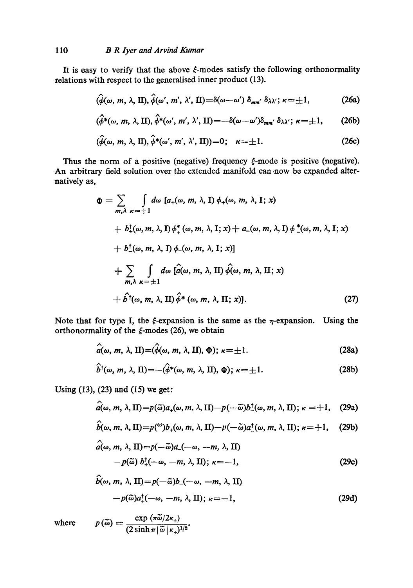It is easy to verify that the above  $\xi$ -modes satisfy the following orthonormality relations with respect to the generalised inner product (13).

$$
(\hat{\phi}(\omega, m, \lambda, \Pi), \hat{\phi}(\omega', m', \lambda', \Pi) = \delta(\omega - \omega') \, \delta_{mm'} \, \delta_{\lambda \lambda'}; \, \kappa = \pm 1, \tag{26a}
$$

$$
(\hat{\phi}^*(\omega, m, \lambda, \Pi), \hat{\phi}^*(\omega', m', \lambda', \Pi) = -\delta(\omega - \omega')\delta_{mm'}\delta_{\lambda\lambda'}; \kappa = \pm 1, \qquad (26b)
$$

$$
(\widehat{\phi}(\omega, m, \lambda, \Pi), \widehat{\phi}^*(\omega', m', \lambda', \Pi)) = 0; \quad \kappa = \pm 1. \tag{26c}
$$

Thus the norm of a positive (negative) frequency  $\xi$ -mode is positive (negative). An arbitrary field solution over the extended manifold can now be expanded alternatively as,

$$
\Phi = \sum_{m,\lambda} \int d\omega \, [a_{+}(\omega, m, \lambda, I) \phi_{+}(\omega, m, \lambda, I; x) \n+ b_{+}^{\dagger}(\omega, m, \lambda, I) \phi_{+}^{*}(\omega, m, \lambda, I; x) + a_{-}(\omega, m, \lambda, I) \phi_{-}^{*}(\omega, m, \lambda, I; x) \n+ b_{-}^{\dagger}(\omega, m, \lambda, I) \phi_{-}(\omega, m, \lambda, I; x) \n+ \sum_{m,\lambda} \int d\omega \, [\hat{a}(\omega, m, \lambda, II) \hat{\phi}(\omega, m, \lambda, II; x) \n+ \hat{b}^{\dagger}(\omega, m, \lambda, II) \hat{\phi}^{*}(\omega, m, \lambda, II; x) \qquad (27)
$$

Note that for type I, the  $\xi$ -expansion is the same as the  $\eta$ -expansion. Using the orthonormality of the  $\xi$ -modes (26), we obtain

$$
\hat{a}(\omega, m, \lambda, \Pi) = (\hat{\phi}(\omega, m, \lambda, \Pi), \Phi); \ \kappa = \pm 1. \tag{28a}
$$

$$
\hat{b}^{\dagger}(\omega, m, \lambda, \Pi) = -(\hat{\phi}^*(\omega, m, \lambda, \Pi), \Phi); \ \kappa = \pm 1. \tag{28b}
$$

Using (13), (23) and (15) we get:

$$
\hat{a}(\omega, m, \lambda, \Pi) = p(\tilde{\omega})a_{+}(\omega, m, \lambda, \Pi) - p(-\tilde{\omega})b_{-}^{\dagger}(\omega, m, \lambda, \Pi); \kappa = +1, \quad (29a)
$$

$$
\hat{b}(\omega, m, \lambda, \text{II}) = p(\omega) b_{+}(\omega, m, \lambda, \text{II}) - p(-\tilde{\omega}) a_{-}^{\dagger}(\omega, m, \lambda, \text{II}); \kappa = +1, \quad (29b)
$$

$$
a(\omega, m, \lambda, \Pi) = p(-\tilde{\omega})a(-\omega, -m, \lambda, \Pi)
$$
  
-  $p(\tilde{\omega}) b^{\dagger}_{+}(-\omega, -m, \lambda, \Pi); \kappa = -1,$  (29c)

$$
\hat{b}(\omega, m, \lambda, \Pi) = p(-\tilde{\omega})b_-(-\omega, -m, \lambda, \Pi)
$$
  
- $p(\tilde{\omega})a_+^{\dagger}(-\omega, -m, \lambda, \Pi); \kappa = -1,$  (29d)

where

$$
p(\widetilde{\omega})=\frac{\exp{(\pi\widetilde{\omega}/2\kappa_+)}}{(2\sinh{\pi}|\widetilde{\omega}|\kappa_+)^{1/2}}.
$$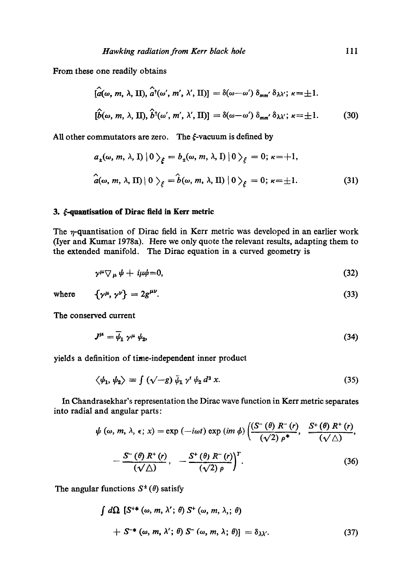From these one readily obtains

 $\sim$ 

$$
[\hat{a}(\omega, m, \lambda, \text{II}), \hat{a}^{\dagger}(\omega', m', \lambda', \text{II})] = \delta(\omega - \omega') \delta_{mm'} \delta_{\lambda \lambda'}; \ \kappa = \pm 1.
$$
  

$$
[\hat{b}(\omega, m, \lambda, \text{II}), \hat{b}^{\dagger}(\omega', m', \lambda', \text{II})] = \delta(\omega - \omega') \delta_{mm'} \delta_{\lambda \lambda'}; \ \kappa = \pm 1.
$$
 (30)

All other commutators are zero. The  $\xi$ -vacuum is defined by

$$
a_4(\omega, m, \lambda, I) |0\rangle_{\xi} = b_4(\omega, m, \lambda, I) |0\rangle_{\xi} = 0; \kappa = +1,
$$
  

$$
\hat{a}(\omega, m, \lambda, II) |0\rangle_{\xi} = \hat{b}(\omega, m, \lambda, II) |0\rangle_{\xi} = 0; \kappa = \pm 1.
$$
 (31)

# 3.  $\xi$ -quantisation of Dirac field in Kerr metric

The  $\eta$ -quantisation of Dirac field in Kerr metric was developed in an earlier work (Iyer and Kumar 19783). Here we only quote the relevant results, adapting them to the extended manifold. The Dirac equation in a curved geometry is

$$
\gamma^{\mu}\nabla_{\mu}\psi + i\mu\psi = 0, \qquad (32)
$$

where 
$$
\{\gamma^{\mu}, \gamma^{\nu}\} = 2g^{\mu\nu}.
$$
 (33)

The conserved current

$$
J^{\mu} = \overline{\psi}_1 \gamma^{\mu} \psi_2, \tag{34}
$$

yields a definition of time-independent inner product

$$
\langle \psi_1, \psi_2 \rangle \equiv \int (\sqrt{-g}) \, \bar{\psi}_1 \, \gamma^t \, \psi_2 \, d^3 \, x. \tag{35}
$$

In Chandrasekhar's representation the Dirac wave function in Kerr metric separates into radial and angular parts:

$$
\psi(\omega, m, \lambda, \epsilon; x) = \exp(-i\omega t) \exp(im \phi) \left( \frac{(S^-(\theta) R^-(r))}{(\sqrt{2}) \rho^*}, \frac{S^+(\theta) R^+(r)}{(\sqrt{\Delta})}, -\frac{S^-(\theta) R^+(\rho)}{(\sqrt{\Delta})}, -\frac{S^+(\theta) R^-(r)}{(\sqrt{2}) \rho} \right)^T.
$$
\n(36)

The angular functions  $S^{\pm}(\theta)$  satisfy

$$
\int d\Omega \left[ S^{+*}(\omega, m, \lambda'; \theta) S^{+}(\omega, m, \lambda; \theta) \right]
$$
  
+  $S^{-*}(\omega, m, \lambda'; \theta) S^{-}(\omega, m, \lambda; \theta) = \delta_{\lambda \lambda'}$ . (37)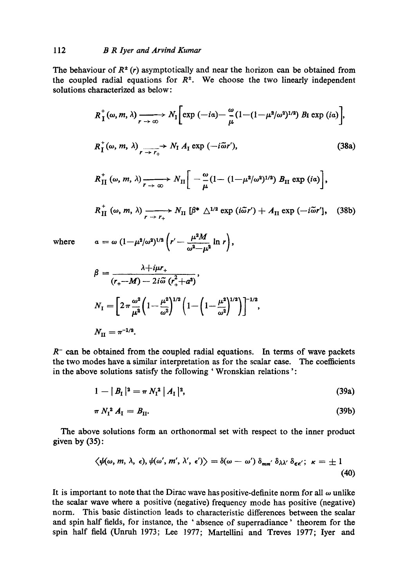The behaviour of  $R^{\pm}(r)$  asymptotically and near the horizon can be obtained from the coupled radial equations for  $R^{\pm}$ . We choose the two linearly independent solutions characterized as below:

$$
R_{\textrm{I}}^{+}(\omega, m, \lambda) \xrightarrow[r \to \infty]{} N_{\textrm{I}} \Big[ \exp(-ia) - \frac{\omega}{\mu} (1 - (1 - \mu^2/\omega^2)^{1/2}) B_{\textrm{I}} \exp(ia) \Big],
$$
  
\n
$$
R_{\textrm{I}}^{+}(\omega, m, \lambda) \xrightarrow[r \to r_{+}]} N_{\textrm{I}} A_{\textrm{I}} \exp(-i\tilde{\omega}r'), \qquad (38a)
$$
  
\n
$$
R_{\textrm{II}}^{+}(\omega, m, \lambda) \xrightarrow[r \to \infty]{} N_{\textrm{II}} \Big[ -\frac{\omega}{\mu} (1 - (1 - \mu^2/\omega^2)^{1/2}) B_{\textrm{II}} \exp(ia) \Big],
$$

$$
R_{\text{II}}^{+}(\omega, m, \lambda) \xrightarrow[r \to r_{+}]{}
$$
  $N_{\text{II}} [\beta^{*} \triangle^{1/2} \exp(i\tilde{\omega}r') + A_{\text{II}} \exp(-i\tilde{\omega}r'],$  (38b)

where 
$$
a = \omega (1 - \mu^2/\omega^2)^{1/2} \left( r' - \frac{\mu^2 M}{\omega^2 - \mu^2} \ln r \right)
$$

$$
\beta = \frac{\lambda + i\mu r_+}{(r_+ - M) - 2i\tilde{\omega} (r_+^2 + a^2)},
$$
  
\n
$$
N_{\rm I} = \left[2\pi \frac{\omega^2}{\mu^2} \left(1 - \frac{\mu^2}{\omega^2}\right)^{1/2} \left(1 - \left(1 - \frac{\mu^2}{\omega^2}\right)^{1/2}\right)\right]^{-1/2},
$$
  
\n
$$
N_{\rm II} = \pi^{-1/2}.
$$

 $R^-$  can be obtained from the coupled radial equations. In terms of wave packets the two modes have a similar interpretation as for the scalar ease. The coefficients in the above solutions satisfy the following ' Wronskian relations':

$$
1 - |B_{\rm I}|^2 = \pi N_{\rm I}^2 |A_{\rm I}|^2, \tag{39a}
$$

$$
\pi N_{\rm I}^2 A_{\rm I} = B_{\rm II}.\tag{39b}
$$

The above solutions form an orthonormal set with respect to the inner product given by (35):

$$
\langle \psi(\omega, m, \lambda, \epsilon), \psi(\omega', m', \lambda', \epsilon') \rangle = \delta(\omega - \omega') \, \delta_{mm'} \, \delta_{\lambda \lambda'} \, \delta_{\epsilon \epsilon'}; \ \kappa = \pm 1 \tag{40}
$$

It is important to note that the Dirac wave has positive-definite norm for all  $\omega$  unlike the scalar wave where a positive (negative) frequency mode has positive (negative) norm. This basic distinction leads to characteristic differences between the sealar and spin half fields, for instance, the ' absence of superradiance' theorem for the spin half field (Unruh 1973; Lee 1977; Martellini and Treves 1977; Iyer and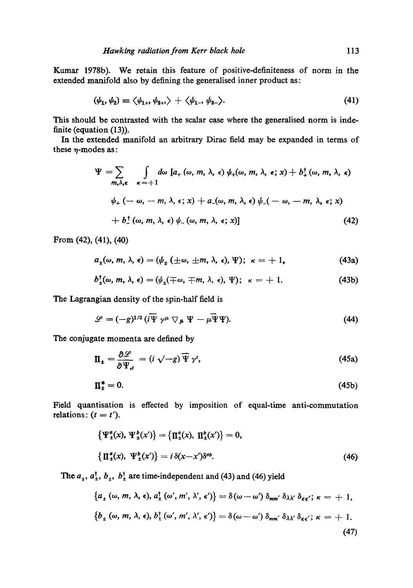Kumar 1978b). We retain this feature of positive-definiteness of norm in the extended manifold also by defining the generalised inner product as:

$$
(\psi_1, \psi_2) \equiv \langle \psi_{1+}, \psi_{2+} \rangle + \langle \psi_{1-}, \psi_{2-} \rangle. \tag{41}
$$

This should be contrasted with the scalar ease where the generalised norm is indefinite (equation (13)).

In the extended manifold an arbitrary Dirac field may be expanded in terms of these  $\eta$ -modes as:

$$
\Psi = \sum_{m,\lambda,\epsilon} \int d\omega \left[ a_+(\omega, m, \lambda, \epsilon) \psi_+(\omega, m, \lambda, \epsilon; x) + b_+^{\dagger}(\omega, m, \lambda, \epsilon) \right]
$$
  

$$
\psi_+(-\omega, -m, \lambda, \epsilon; x) + a_-(\omega, m, \lambda, \epsilon) \psi_-(-\omega, -m, \lambda, \epsilon; x)
$$
  

$$
+ b_-^{\dagger}(\omega, m, \lambda, \epsilon) \psi_-(\omega, m, \lambda, \epsilon; x) \right]
$$
 (42)

From (42), (41), (40)

$$
a_{\pm}(\omega, m, \lambda, \epsilon) = (\psi_{\pm} (\pm \omega, \pm m, \lambda, \epsilon), \Psi); \ \kappa = +1,
$$
 (43a)

$$
b_{\pm}^{\dagger}(\omega, m, \lambda, \epsilon) = (\psi_{\pm}(\mp \omega, \mp m, \lambda, \epsilon), \Psi); \ \kappa = +1. \tag{43b}
$$

The Lagrangian density of the spin-half field is

$$
\mathscr{L} = (-g)^{1/2} \left( i \overline{\Psi} \gamma^{\mu} \nabla_{\mu} \Psi - \mu \overline{\Psi} \Psi \right).
$$
 (44)

The conjugate momenta are defined by

$$
\Pi_{\pm} = \frac{\partial \mathcal{L}}{\partial \Psi_{,\tau}} = (i \sqrt{-g}) \overline{\Psi} \gamma^{\tau}, \qquad (45a)
$$

$$
\Pi_{\pm}^* = 0. \tag{45b}
$$

Field quantisation is effected by imposition of equal-time anti-commutation relations:  $(t = t')$ .

$$
\begin{aligned} \left\{ \Psi_{\pm}^{a}(x), \, \Psi_{\pm}^{b}(x') \right\} &= \left\{ \Pi_{\pm}^{a}(x), \, \, \Pi_{\pm}^{b}(x') \right\} = 0, \\ \left\{ \Pi_{\pm}^{a}(x), \, \, \Psi_{\pm}^{b}(x') \right\} &= i \, \delta(x - x') \delta^{ab}. \end{aligned} \tag{46}
$$

The  $a_{\pm}$ ,  $a_{\pm}^{\dagger}$ ,  $b_{\pm}$ ,  $b_{\pm}^{\dagger}$  are time-independent and (43) and (46) yield

$$
\{a_{\pm}(\omega, m, \lambda, \epsilon), a_{\pm}^{\dagger}(\omega', m', \lambda', \epsilon')\} = \delta(\omega - \omega') \delta_{mm'} \delta_{\lambda \lambda'} \delta_{\epsilon \epsilon'}; \kappa = +1,
$$
  

$$
\{b_{\pm}(\omega, m, \lambda, \epsilon), b_{\pm}^{\dagger}(\omega', m', \lambda', \epsilon')\} = \delta(\omega - \omega') \delta_{mm'} \delta_{\lambda \lambda'} \delta_{\epsilon \epsilon'}; \kappa = +1.
$$
  
(47)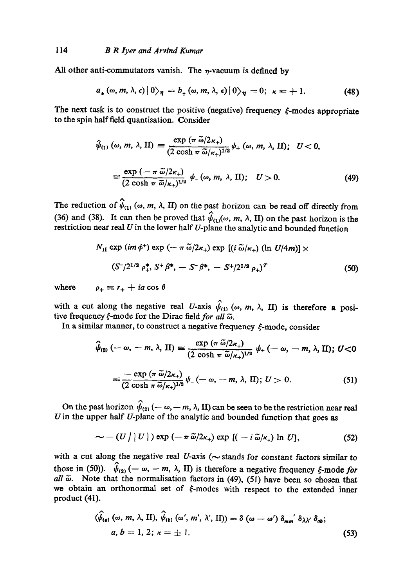All other anti-commutators vanish. The  $\eta$ -vacuum is defined by

$$
a_{\pm}(\omega, m, \lambda, \epsilon) |0\rangle_{\eta} = b_{\pm}(\omega, m, \lambda, \epsilon) |0\rangle_{\eta} = 0; \ \kappa = +1. \tag{48}
$$

The next task is to construct the positive (negative) frequency  $\xi$ -modes appropriate to the spin half field quantisation. Consider

$$
\hat{\psi}_{(1)}\left(\omega, m, \lambda, \Pi\right) \equiv \frac{\exp\left(\pi \tilde{\omega}/2\kappa_{+}\right)}{(2 \cosh \pi \tilde{\omega}/\kappa_{+})^{1/2}} \psi_{+}\left(\omega, m, \lambda, \Pi\right); \quad U < 0,
$$
\n
$$
\equiv \frac{\exp\left(-\pi \tilde{\omega}/2\kappa_{+}\right)}{(2 \cosh \pi \tilde{\omega}/\kappa_{+})^{1/2}} \psi_{-}\left(\omega, m, \lambda, \Pi\right); \quad U > 0.
$$
\n(49)

The reduction of  $\hat{\psi}_{(1)}$  ( $\omega$ ,  $m$ ,  $\lambda$ , II) on the past horizon can be read off directly from (36) and (38). It can then be proved that  $\psi_{(1)}(\omega, m, \lambda, II)$  on the past horizon is the restriction near real  $U$  in the lower half  $U$ -plane the analytic and bounded function

$$
N_{\rm II} \exp\left(im\phi^{+}\right) \exp\left(-\pi\,\tilde{\omega}/2\kappa_{+}\right) \exp\left[(i\,\tilde{\omega}/\kappa_{+})\left(\ln\,U/4m\right)\right] \times
$$
\n
$$
(S^{-}/2^{1/2}\,\rho_{+}^{*},\,S^{+}\,\beta^{*},\,-\,S^{-}\,\beta^{*},\,-\,S^{+}/2^{1/2}\,\rho_{+})^{T} \tag{50}
$$

where  $\rho_+ \equiv r_+ + ia \cos \theta$ 

with a cut along the negative real *U*-axis  $\hat{\psi}_{(1)}$  ( $\omega$ ,  $m$ ,  $\lambda$ , II) is therefore a positive frequency  $\xi$ -mode for the Dirac field for all  $\tilde{\omega}$ .

In a similar manner, to construct a negative frequency  $\xi$ -mode, consider

$$
\hat{\psi}_{(2)}\left(-\omega,-m,\lambda,\Pi\right)\equiv\frac{\exp\left(\pi\,\tilde{\omega}/2\kappa_{+}\right)}{(2\,\cosh\,\pi\,\tilde{\omega}/\kappa_{+})^{1/2}}\,\psi_{+}\left(-\,\omega,-m,\lambda,\Pi\right); U<0
$$

$$
\equiv \frac{-\exp\left(\pi\,\widetilde{\omega}/2\kappa_+\right)}{(2\cosh\,\pi\,\widetilde{\omega}/\kappa_+)^{1/2}}\,\psi_-\left(-\,\omega,\,-\,m,\,\lambda,\,\mathrm{II}\right); U>0. \tag{51}
$$

On the past horizon  $\hat{\psi}_{(2)}(-\omega, -m, \lambda, \Pi)$  can be seen to be the restriction near real U in the upper half  $U$ -plane of the analytic and bounded function that goes as

$$
\sim - (U / |U|) \exp (-\pi \tilde{\omega}/2\kappa_{+}) \exp [(-i \tilde{\omega}/\kappa_{+}) \ln U], \qquad (52)
$$

with a cut along the negative real  $U$ -axis ( $\sim$  stands for constant factors similar to those in (50)).  $\hat{\psi}_{(2)}(-\omega, -m, \lambda, \Pi)$  is therefore a negative frequency  $\xi$ -mode *for all*  $\tilde{\omega}$ . Note that the normalisation factors in (49), (51) have been so chosen that we obtain an orthonormal set of  $\xi$ -modes with respect to the extended inner product (4I).

$$
(\hat{\psi}_{(a)}\,(\omega,\,m,\,\lambda,\,\Pi),\,\hat{\psi}_{(b)}\,(\omega',\,m',\,\lambda',\,\Pi))=\delta\,(\omega-\omega')\,\delta_{mm'}\,\delta_{\lambda\lambda'}\,\delta_{ab};
$$
\n
$$
a,\,b=1,\,2;\,\kappa=\pm\,1.\tag{53}
$$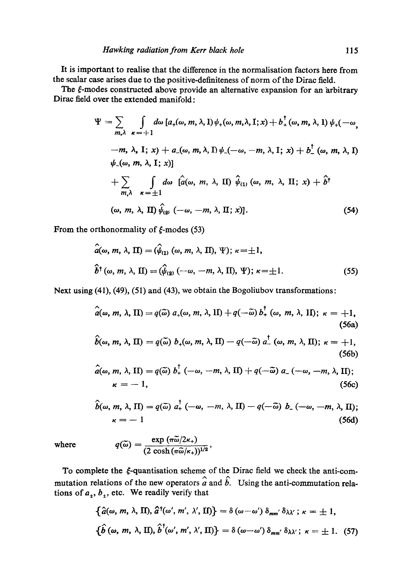It is important to realise that the difference in the normalisation factors here from the scalar ease arises due to the positive-definiteness of norm of the Dirae field.

The  $\xi$ -modes constructed above provide an alternative expansion for an arbitrary Dirae field over the extended manifold:

$$
\Psi = \sum_{m,\lambda} \int d\omega \left[ a_{+}(\omega, m, \lambda, 1) \psi_{+}(\omega, m, \lambda, 1; x) + b_{+}^{\dagger}(\omega, m, \lambda, 1) \psi_{+}(-\omega, m, \lambda, 1; x) \right]
$$
  
\n
$$
-m, \lambda, I; x) + a_{-}(\omega, m, \lambda, 1) \psi_{-}(-\omega, -m, \lambda, I; x) + b_{-}^{\dagger}(\omega, m, \lambda, 1) \psi_{-}(\omega, m, \lambda, I; x) \big]
$$
  
\n
$$
+ \sum_{m,\lambda} \int d\omega \left[ \hat{a}(\omega, m, \lambda, \Pi) \hat{\psi}_{(1)}(\omega, m, \lambda, \Pi; x) + \hat{b}^{\dagger} \right]
$$
  
\n
$$
(\omega, m, \lambda, \Pi) \hat{\psi}_{(2)}(-\omega, -m, \lambda, \Pi; x) \big].
$$
  
\n(54)

From the orthonormality of  $\xi$ -modes (53)

$$
\hat{a}(\omega, m, \lambda, \Pi) = (\hat{\psi}_{(1)} (\omega, m, \lambda, \Pi), \Psi); \ \kappa = \pm 1,
$$
  

$$
\hat{b}^{\dagger}(\omega, m, \lambda, \Pi) = (\hat{\psi}_{(2)} (-\omega, -m, \lambda, \Pi), \Psi); \ \kappa = \pm 1.
$$
 (55)

Next using (41), (49), (51) and (43), we obtain the Bogoliubov transformations:

$$
\hat{a}(\omega, m, \lambda, \Pi) = q(\widetilde{\omega}) a_{+}(\omega, m, \lambda, \Pi) + q(-\widetilde{\omega}) b_{+}^{\dagger}(\omega, m, \lambda, \Pi); \ \kappa = +1,
$$
\n(56a)

$$
\hat{b}(\omega, m, \lambda, \Pi) = q(\widetilde{\omega}) b_{+}(\omega, m, \lambda, \Pi) - q(-\widetilde{\omega}) a_{-}^{\dagger}(\omega, m, \lambda, \Pi); \ \kappa = +1,
$$
\n(56b)

$$
\hat{a}(\omega, m, \lambda, \text{II}) = q(\widetilde{\omega}) b_+^{\dagger} (-\omega, -m, \lambda, \text{II}) + q(-\widetilde{\omega}) a_- (-\omega, -m, \lambda, \text{II});
$$
\n
$$
\kappa = -1, \tag{56c}
$$

$$
\hat{b}(\omega, m, \lambda, \Pi) = q(\tilde{\omega}) a_+^{\dagger} (-\omega, -m, \lambda, \Pi) - q(-\tilde{\omega}) b_- (-\omega, -m, \lambda, \Pi);
$$
  

$$
\kappa = -1
$$
 (56d)

where

$$
q(\widetilde{\omega})=\frac{\exp{(\pi\widetilde{\omega}/2\kappa_+)}}{(2\cosh{(\pi\widetilde{\omega}/\kappa_+)})^{1/2}},
$$

To complete the  $\xi$ -quantisation scheme of the Dirac field we check the anti-commutation relations of the new operators  $\hat{a}$  and  $\hat{b}$ . Using the anti-commutation relations of  $a_1$ ,  $b_1$ , etc. We readily verify that

$$
\{\hat{a}(\omega, m, \lambda, \Pi), \hat{a}^{\dagger}(\omega', m', \lambda', \Pi)\} = \delta(\omega - \omega') \delta_{mm'} \delta_{\lambda \lambda'}; \kappa = \pm 1,
$$
  

$$
\{\hat{b}(\omega, m, \lambda, \Pi), \hat{b}^{\dagger}(\omega', m', \lambda', \Pi)\} = \delta(\omega - \omega') \delta_{mm'} \delta_{\lambda \lambda'}; \kappa = \pm 1. (57)
$$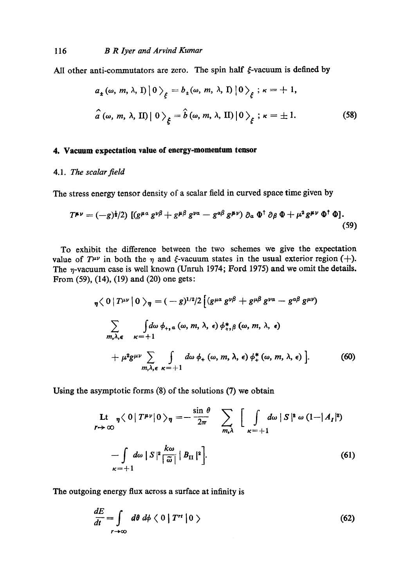All other anti-commutators are zero. The spin half  $\xi$ -vacuum is defined by

$$
a_{\pm}(\omega, m, \lambda, \mathbf{I}) |0\rangle_{\xi} = b_{\pm}(\omega, m, \lambda, \mathbf{I}) |0\rangle_{\xi}; \kappa = +1,
$$
  

$$
\hat{a}(\omega, m, \lambda, \mathbf{I}) |0\rangle_{\xi} = \hat{b}(\omega, m, \lambda, \mathbf{I}) |0\rangle_{\xi}; \kappa = \pm 1.
$$
 (58)

## **4. Vacuum expectation value of energy-momentum** tensor

### 4.1. *The scalar field*

The stress energy tensor density of a scalar field in curved space time given by

$$
T^{\mu\nu}=(-g)^{\frac{1}{2}}/2\big[\left(g^{\mu\alpha}g^{\nu\beta}+g^{\mu\beta}g^{\nu\alpha}-g^{\alpha\beta}g^{\mu\nu}\right)\partial_{\alpha}\Phi^{\dagger}\partial_{\beta}\Phi+\mu^{2}g^{\mu\nu}\Phi^{\dagger}\Phi].
$$
\n(59)

To exhibit the difference between the two schemes we give the expectation value of  $T^{\mu\nu}$  in both the  $\eta$  and  $\xi$ -vacuum states in the usual exterior region (+). The  $\eta$ -vacuum case is well known *(Unruh 1974; Ford 1975)* and we omit the details. From **(59), (14), (19) and (20)** one gets:

$$
\eta \langle 0 | T^{\mu\nu} | 0 \rangle_{\eta} = (-g)^{1/2} / 2 \left[ (g^{\mu a} g^{\nu \beta} + g^{\mu \beta} g^{\nu a} - g^{\alpha \beta} g^{\mu \nu}) \right]
$$
  

$$
\sum_{m,\lambda,\epsilon} \int d\omega \phi_{+,a} (\omega, m, \lambda, \epsilon) \phi_{+,a}^{*} (\omega, m, \lambda, \epsilon)
$$
  

$$
+ \mu^{2} g^{\mu\nu} \sum_{m,\lambda,\epsilon} \int d\omega \phi_{+} (\omega, m, \lambda, \epsilon) \phi_{+}^{*} (\omega, m, \lambda, \epsilon) \right].
$$
 (60)

Using the asymptotic forms (8) of the solutions (7) we obtain

$$
\begin{aligned}\n\text{Lt} \quad & \eta \langle 0 \, | \, T^{\mu\nu} | 0 \, \rangle_{\eta} = -\frac{\sin \theta}{2\pi} \quad \sum_{m,\lambda} \quad \Big[ \, \int_{\kappa = +1}^{1} d\omega \, | \, S \, |^{2} \, \omega \, (1 - |A_{I}|^{2}) \\
& \quad - \int_{\kappa = +1}^{1} d\omega \, | \, S \, |^{2} \left[ \frac{k\omega}{\tilde{\omega}} \, | \, B_{II} \, |^{2} \right].\n\end{aligned}\n\tag{61}
$$

The outgoing energy flux across a surface at infinity is

$$
\frac{dE}{dt} = \int_{r \to \infty} d\theta \, d\phi \, \langle \, 0 \, | \, T^{rt} \, | \, 0 \, \rangle \tag{62}
$$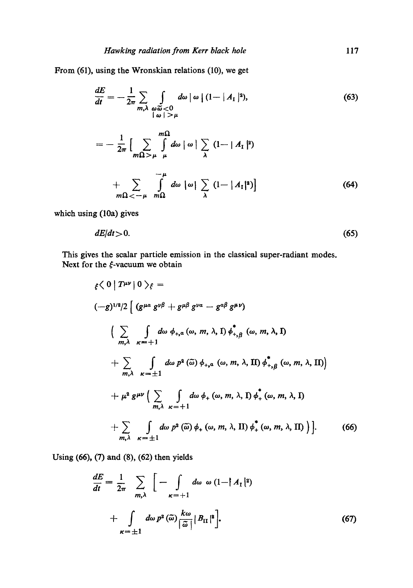From (61), using the Wronskian relations (10), we get

$$
\frac{dE}{dt} = -\frac{1}{2\pi} \sum_{\substack{m,\lambda \ \omega \tilde{\omega} < 0 \\ |\omega| > \mu}} d\omega \, |\omega| \, (1 - |A_{\rm I}|^2),\tag{63}
$$

$$
= -\frac{1}{2\pi} \Big[ \sum_{m\Omega > \mu} \int_{\mu}^{m\Omega} d\omega \mid \omega \mid \sum_{\lambda} (1 - |A_{\mathcal{I}}|^2)
$$
  
+ 
$$
\sum_{m\Omega < -\mu} \int_{m\Omega}^{-\mu} d\omega \mid \omega \mid \sum_{\lambda} (1 - |A_{\mathcal{I}}|^2) \Big]
$$
(64)

which using (10a) gives

$$
dE/dt > 0. \tag{65}
$$

This gives the scalar particle emission in the classical super-radiant modes. Next for the  $\xi$ -vacuum we obtain

$$
\xi \langle 0 | T^{\mu\nu} | 0 \rangle_{\xi} =
$$
\n
$$
(-g)^{1/2}/2 \Big[ (g^{\mu\alpha} g^{\nu\beta} + g^{\mu\beta} g^{\nu\alpha} - g^{\alpha\beta} g^{\mu\nu})
$$
\n
$$
\Big( \sum_{m,\lambda} \int_{\kappa=+1}^{\infty} d\omega \phi_{+,a} (\omega, m, \lambda, \Gamma) \phi_{+, \beta}^{*} (\omega, m, \lambda, \Gamma)
$$
\n
$$
+ \sum_{m,\lambda} \int_{\kappa=+1}^{\infty} d\omega p^{2} (\tilde{\omega}) \phi_{+,a} (\omega, m, \lambda, \Pi) \phi_{+, \beta}^{*} (\omega, m, \lambda, \Pi) \Big]
$$
\n
$$
+ \mu^{2} g^{\mu\nu} \Big( \sum_{m,\lambda} \int_{\kappa=+1}^{\infty} d\omega \phi_{+} (\omega, m, \lambda, \Gamma) \phi_{+}^{*} (\omega, m, \lambda, \Gamma)
$$
\n
$$
+ \sum_{m,\lambda} \int_{\kappa=+1}^{\infty} d\omega p^{2} (\tilde{\omega}) \phi_{+} (\omega, m, \lambda, \Pi) \phi_{+}^{*} (\omega, m, \lambda, \Pi) \Big]. \qquad (66)
$$

Using (66), (7) and (8), (62) then yields

$$
\frac{dE}{dt} = \frac{1}{2\pi} \sum_{m,\lambda} \left[ - \int_{\kappa = +1} d\omega \, \omega \, (1 - |A_{\text{I}}|^2) \right. \left. + \int_{\kappa = \pm 1} d\omega \, p^2 \left( \tilde{\omega} \right) \frac{k\omega}{|\tilde{\omega}|} |B_{\text{II}}|^2 \right]. \tag{67}
$$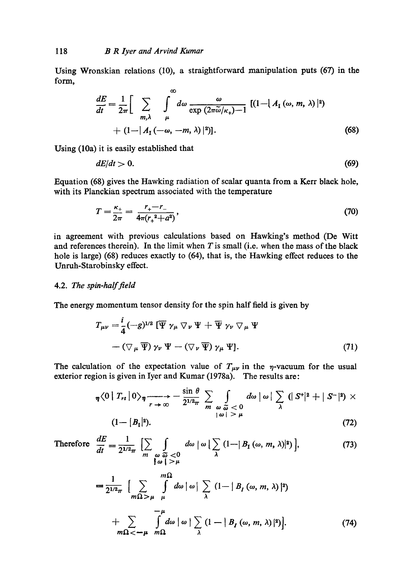Using Wronskian relations (10), a straightforward manipulation puts (67) in the form,

$$
\frac{dE}{dt} = \frac{1}{2\pi} \Bigg[ \sum_{m,\lambda} \int_{\mu}^{\infty} d\omega \, \frac{\omega}{\exp(2\pi \tilde{\omega}/\kappa_{+}) - 1} \, [(1 - |A_{I}(\omega, m, \lambda)|^{2}) + (1 - |A_{I}(-\omega, -m, \lambda)|^{2})]. \tag{68}
$$

Using (10a) it is easily established that

$$
dE/dt > 0. \tag{69}
$$

Equation (68) gives the Hawking radiation of scalar quanta from a Kerr black hole, with its Planckian spectrum associated with the temperature

$$
T = \frac{\kappa_+}{2\pi} = \frac{r_+ - r_-}{4\pi (r_+^2 + a^2)},\tag{70}
$$

in agreement with previous calculations based on Hawking's method (De Witt and references therein). In the limit when  $T$  is small (i.e. when the mass of the black hole is large) (68) reduces exactly to (64), that is, the Hawking effect reduces to the Unruh-Starobinsky effect.

#### 4.2. *The spin-half field*

The energy momentum tensor density for the spin half field is given by

$$
T_{\mu\nu} = \frac{i}{4} (-g)^{1/2} \left[ \overline{\Psi} \gamma_{\mu} \nabla_{\nu} \Psi + \overline{\Psi} \gamma_{\nu} \nabla_{\mu} \Psi \right. - \left( \nabla_{\mu} \overline{\Psi} \right) \gamma_{\nu} \Psi - \left( \nabla_{\nu} \overline{\Psi} \right) \gamma_{\mu} \Psi \right]. \tag{71}
$$

The calculation of the expectation value of  $T_{\mu\nu}$  in the  $\eta$ -vacuum for the usual exterior region is given in Iyer and Kumar (1978a). The results are:

$$
\eta \langle 0 | T_{rt} | 0 \rangle_{\eta} \longrightarrow -\frac{\sin \theta}{2^{1/2} \pi} \sum_{\substack{\omega \\ |\omega| > \mu}} \int_{\omega} d\omega |\omega| \sum_{\lambda} (|S^{\dagger}|^2 + |S^{-}|^2) \times
$$
  
(1- |B<sub>1</sub>|<sup>2</sup>). (72)

Therefore 
$$
\frac{dE}{dt} = \frac{1}{2^{1/2}\pi} \left[ \sum_{m} \int_{\substack{\omega \\ \omega \\ \omega \end{pmatrix}} d\omega \mid \omega \mid \sum_{\lambda} (1 - |B_{\text{I}}(\omega, m, \lambda)|^2) \right],
$$
(73)

$$
= \frac{1}{2^{1/2}\pi} \left[ \sum_{m\Omega > \mu} \int_{\mu}^{m\Omega} d\omega \, |\, \omega \right] \sum_{\lambda} (1 - |B_I(\omega, m, \lambda)|^2) + \sum_{m\Omega < -\mu} \int_{m\Omega}^{-\mu} d\omega \, |\, \omega \left[ \sum_{\lambda} (1 - |B_I(\omega, m, \lambda)|^2) \right]. \tag{74}
$$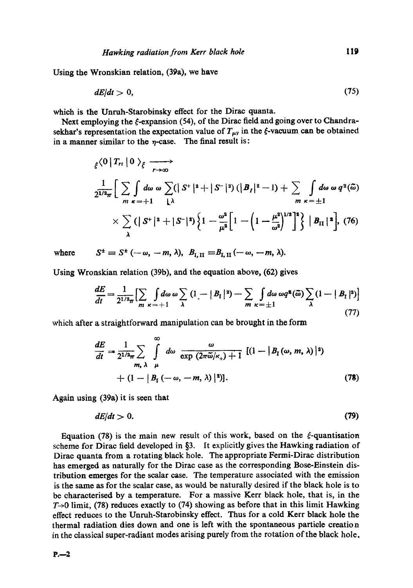Using the Wronskian relation, (39a), we have

$$
dE/dt > 0, \tag{75}
$$

which is the Unruh-Starobinsky effect for the Dirac quanta.

Next employing the  $\xi$ -expansion (54), of the Dirac field and going over to Chandrasekhar's representation the expectation value of  $T_{\mu\nu}$  in the  $\xi$ -vacuum can be obtained in a manner similar to the  $\eta$ -case. The final result is:

$$
\xi^{(0)}\Big|T_{r_1}\Big|0\Big\rangle_{\xi} \longrightarrow
$$
\n
$$
\frac{1}{2^{1/2}\pi}\Big[\sum_{m} \int d\omega \omega \sum_{\kappa=+1} \left(|S^+|^2+|S^-|^2\right) \left(|B_I|^2-1\right)+\sum_{m} \int d\omega \omega q^2(\tilde{\omega})
$$
\n
$$
\times \sum_{\lambda} \left(|S^+|^2+|S^-|^2\right) \left\{1-\frac{\omega^2}{\mu^2}\Big[1-\left(1-\frac{\mu^2}{\omega^2}\right)^{1/2}\Big]^2\right\}\Big|B_{\Pi}|^2\Big], \quad (76)
$$

where  $S^{\pm} \equiv S^{\pm}$  (--0

$$
\omega, -m, \lambda), B_{\mathrm{I},\,\mathrm{II}} \equiv B_{\mathrm{I},\,\mathrm{II}} \, (-\omega, -m, \lambda).
$$

Using Wronskian relation (39b), and the equation above, (62) gives

$$
\frac{dE}{dt} = \frac{1}{2^{1/2}\pi} \Big[ \sum_{m} \int d\omega \, \omega \sum_{\kappa = +1} (1 - |B_{\Gamma}|^2) - \sum_{m} \int d\omega \, \omega q^2(\widetilde{\omega}) \sum_{\lambda} (1 - |B_{\Gamma}|^2) \Big]
$$
(77)

which after a straightforward manipulation can be brought in the form

$$
\frac{dE}{dt} = \frac{1}{2^{1/2}\pi} \sum_{m, \lambda} \int_{\mu}^{\infty} d\omega \frac{\omega}{\exp(2\pi \tilde{\omega}/\kappa_{+}) + 1} [(1 - |B_{I}(\omega, m, \lambda)|^{2}) + (1 - |B_{I}(-\omega, -m, \lambda)|^{2}].
$$
\n(78)

Again using (39a) it is seen that

$$
dE/dt > 0. \tag{79}
$$

Equation (78) is the main new result of this work, based on the  $\xi$ -quantisation scheme for Dirac field developed in  $\S$ 3. It explicitly gives the Hawking radiation of Dirac quanta from a rotating black hole. The appropriate Fermi-Dirae distribution has emerged as naturally for the Dirae case as the corresponding Bose-Einstein distribution emerges for the scalar ease. The temperature associated with the emission is the same as for the scalar case, as would be naturally desired if the black hole is to be charaeterised by a temperature. For a massive Kerr black hole, that is, in the  $T\rightarrow 0$  limit, (78) reduces exactly to (74) showing as before that in this limit Hawking effect reduces to the Unruh-Starobinsky effect. Thus for a cold Kerr black hole the thermal radiation dies down and one is left with the spontaneous particle ereation in the elassieal super-radiant modes arising purely from the rotation of the black hole.